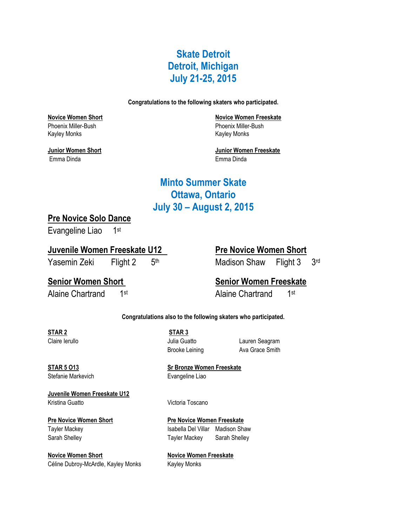## **Skate Detroit Detroit, Michigan July 21-25, 2015**

**Congratulations to the following skaters who participated.**

Phoenix Miller-Bush Phoenix Miller-Bush Kayley Monks **Kayley Monks** 

Emma Dinda Emma Dinda

**Novice Women Short Novice Women Freeskate**

**Junior Women Short Junior Women Freeskate**

## **Minto Summer Skate Ottawa, Ontario July 30 – August 2, 2015**

## **Pre Novice Solo Dance**

Evangeline Liao 1st

### **Juvenile Women Freeskate U12 Pre Novice Women Short**

Yasemin Zeki Flight 2 5th

# Madison Shaw Flight 3 3rd

Alaine Chartrand 1st

## **Senior Women Short Senior Women Freeskate**

Alaine Chartrand 1st

### **Congratulations also to the following skaters who participated.**

**STAR 2 STAR 3** 

Claire Ierullo Julia Guatto Lauren Seagram Brooke Leining **Ava Grace Smith** 

Stefanie Markevich **Evangeline** Liao

**STAR 5 O13 Sr Bronze Women Freeskate**

**Juvenile Women Freeskate U12** Kristina Guatto **Victoria Toscano** 

**Novice Women Short Novice Women Freeskate** Céline Dubroy-McArdle, Kayley Monks Kayley Monks

**Pre Novice Women Short Pre Novice Women Freeskate** Tayler Mackey **Isabella Del Villar** Madison Shaw Sarah Shelley **Tayler Mackey** Sarah Shelley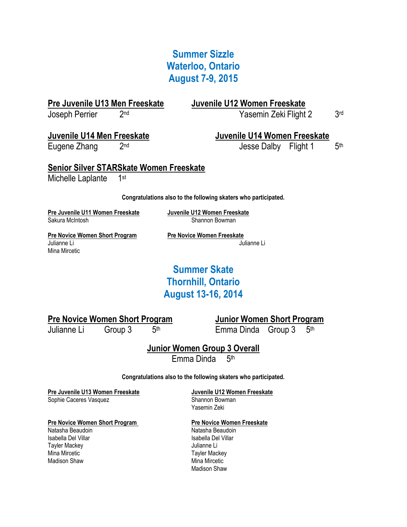## **Summer Sizzle Waterloo, Ontario August 7-9, 2015**

**Pre Juvenile U13 Men Freeskate Juvenile U12 Women Freeskate** Joseph Perrier 2nd

Yasemin Zeki Flight 2

Eugene Zhang 2nd

## **Juvenile U14 Men Freeskate Juvenile U14 Women Freeskate**

Jesse Dalby Flight 1

 $5<sup>th</sup>$ 

3rd

**Senior Silver STARSkate Women Freeskate** Michelle Laplante 1st

**Congratulations also to the following skaters who participated.**

**Pre Juvenile U11 Women Freeskate Juvenile U12 Women Freeskate**

Shannon Bowman

**Pre Novice Women Short Program Pre Novice Women Freeskate** Julianne Li Julianne Li Mina Mircetic

## **Summer Skate Thornhill, Ontario August 13-16, 2014**

## **Pre Novice Women Short Program Junior Women Short Program**

Julianne Li Group 3 5th

Emma Dinda Group  $3$  5<sup>th</sup>

## **Junior Women Group 3 Overall**

Emma Dinda 5<sup>th</sup>

### **Congratulations also to the following skaters who participated.**

**Pre Juvenile U13 Women Freeskate Juvenile U12 Women Freeskate**

Sophie Caceres Vasquez Shannon Bowman

### Pre Novice Women Short Program **Pre Novice Women Freeskate**

Natasha Beaudoin Natasha Beaudoin Isabella Del Villar **Isabella Del Villar** Tayler Mackey **Accord Contract Contract Contract Contract Contract Contract Contract Contract Contract Contract Contract Contract Contract Contract Contract Contract Contract Contract Contract Contract Contract Contract Co** Mina Mircetic **Tayler Mackey Structure 1**<br>Mackey Mackey Mackey Mackey Mina Mircetic

Yasemin Zeki

Mina Mircetic Madison Shaw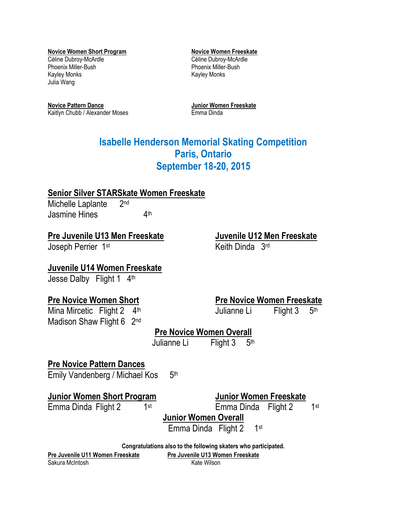**Novice Women Short Program Novice Women Freeskate** Céline Dubroy-McArdle Céline Dubroy-McArdle Phoenix Miller-Bush Phoenix Miller-Bush Kayley Monks **Kayley Monks** Julia Wang

**Novice Pattern Dance Junior Women Freeskate** Kaitlyn Chubb / Alexander Moses Emma Dinda

## **Isabelle Henderson Memorial Skating Competition Paris, Ontario September 18-20, 2015**

## **Senior Silver STARSkate Women Freeskate**

Michelle Laplante 2nd Jasmine Hines 4  $\Delta$ th

## **Pre Juvenile U13 Men Freeskate Juvenile U12 Men Freeskate**

Joseph Perrier 1<sup>st</sup> Keith Dinda 3<sup>rd</sup>

## **Juvenile U14 Women Freeskate**

Jesse Dalby Flight 1 4th

Mina Mircetic Flight 2 4th Madison Shaw Flight 6 2<sup>nd</sup>

## **Pre Novice Women Short Pre Novice Women Freeskate**

Julianne Li Flight 3 5th

## **Pre Novice Women Overall**

Julianne Li Flight 3 5<sup>th</sup>

## **Pre Novice Pattern Dances**

Emily Vandenberg / Michael Kos 5 5th

## **Junior Women Short Program Junior Women Freeskate**

Emma Dinda Flight 2 1st

Emma Dinda Flight 2

1st

**Junior Women Overall**

Emma Dinda Flight 2 1st

**Congratulations also to the following skaters who participated.**

**Pre Juvenile U11 Women Freeskate Pre Juvenile U13 Women Freeskate**

Sakura McIntosh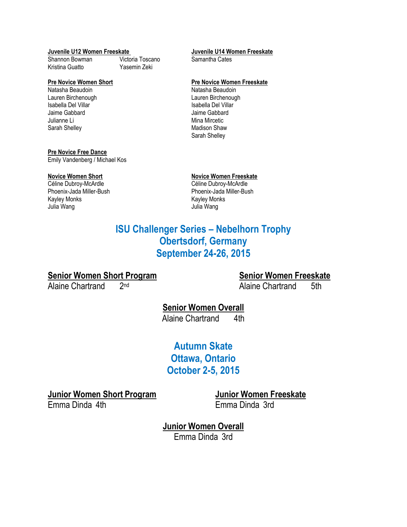### **Juvenile U12 Women Freeskate Juvenile U14 Women Freeskate**

Shannon Bowman Victoria Toscano Samantha Cates Kristina Guatto Yasemin Zeki

Natasha Beaudoin **Natasha Beaudoin** Natasha Beaudoin Lauren Birchenough **Lauren Birchenough Lauren Birchenough Lauren Birchenough Lauren Birchenough Communist Exempl**<br>
Lauren Birchenough Lauren Birchenough Lauren Birchenough Lauren Birchenough Lauren Birchenough Lauren Birch Jaime Gabbard Jaime Gabbard Sarah Shelley **Madison Shaw** Madison Shaw

### **Pre Novice Free Dance**

Emily Vandenberg / Michael Kos

Phoenix-Jada Miller-Bush Phoenix-Jada Miller-Bush Kayley Monks **Kayley Monks** Julia Wang Julia Wang

### **Pre Novice Women Short Pre Novice Women Freeskate**

Isabella Del Villar Mina Mircetic Sarah Shelley

# **Novice Women Short**<br> **Novice Women Freeskate**<br> **Céline Dubroy-McArdle**<br> **Céline Dubroy-McArdle**

Céline Dubroy-McArdle

## **ISU Challenger Series – Nebelhorn Trophy Obertsdorf, Germany September 24-26, 2015**

## **Senior Women Short Program Senior Women Freeskate**

Alaine Chartrand 2nd

Alaine Chartrand 5th

## **Senior Women Overall** Alaine Chartrand 4th

**Autumn Skate Ottawa, Ontario October 2-5, 2015**

**Junior Women Short Program Junior Women Freeskate**

Emma Dinda 4th Emma Dinda 3rd

**Junior Women Overall** Emma Dinda 3rd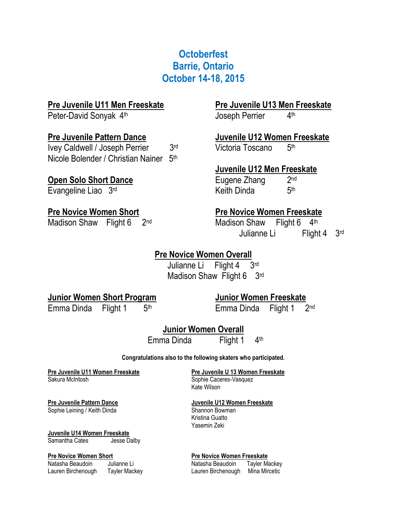## **Octoberfest Barrie, Ontario October 14-18, 2015**

## **Pre Juvenile U11 Men Freeskate Pre Juvenile U13 Men Freeskate**

Peter-David Sonyak 4

Ivey Caldwell / Joseph Perrier 3rd Nicole Bolender / Christian Nainer 5<sup>th</sup>

## **Open Solo Short Dance** Eugene Zhang

Evangeline Liao  $3<sup>rd</sup>$  Keith Dinda

**Joseph Perrier**  $4<sup>th</sup>$ 

### **Pre Juvenile Pattern Dance Juvenile U12 Women Freeskate** Victoria Toscano 5<sub>th</sub>

**Juvenile U12 Men Freeskate**

2nd  $5<sup>th</sup>$ 

## **Pre Novice Women Short Pre Novice Women Freeskate**

Madison Shaw Flight 6 2<sup>nd</sup> Madison Shaw Flight 6 4<sup>th</sup> Julianne Li Flight 4 3rd

## **Pre Novice Women Overall**

Julianne Li Flight 4 3rd Madison Shaw Flight 6 3rd

## **Junior Women Short Program Junior Women Freeskate**

Emma Dinda Flight  $1$  5<sup>th</sup>

Emma Dinda Flight 1 2<sup>nd</sup>

**Junior Women Overall** Emma Dinda Flight 1 4th

### **Congratulations also to the following skaters who participated.**

### **Pre Juvenile U11 Women Freeskate Pre Juvenile U 13 Women Freeskate** Sakura McIntosh Sophie Caceres-Vasquez

Sophie Leining / Keith Dinda Shannon Bowman

### **Juvenile U14 Women Freeskate** Samantha Cates **Jesse Dalby**

Kate Wilson

### **Pre Juvenile Pattern Dance Juvenile U12 Women Freeskate**

Kristina Guatto Yasemin Zeki

### **Pre Novice Women Short Pre Novice Women Freeskate**

Natasha Beaudoin Julianne Li **Natasha Beaudoin** Tayler Mackey Lauren Birchenough Tayler Mackey Lauren Birchenough Mina Mircetic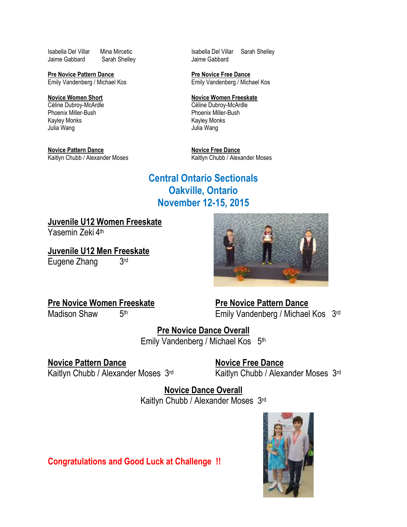Isabella Del Villar Mina Mircetic **Isabella Del Villar** Sarah Shelley Jaime Gabbard Sarah Shelley **Jaime Gabbard** 

Emily Vandenberg / Michael Kos Emily Vandenberg / Michael Kos

**Novice Women Short**<br> **Novice Women Freeskate**<br> **Céline Dubroy-McArdle**<br> **Novice Women Freeskate**<br> **Novice Women Freeskate** Céline Dubroy-McArdle Phoenix Miller-Bush Phoenix Miller-Bush Kayley Monks Julia Wang Julia Wang

**Novice Pattern Dance**<br> **Novice Free Dance**<br> **Kaitlyn Chubb / Alexander Moses**<br> **Raitlyn Chubb / Alexander Moses** 

**Pre Novice Pattern Dance**<br> **Emily Vandenberg / Michael Kos**<br> **Pre Novice Free Dance**<br> **Pre Novice Free Dance** 

Kaitlyn Chubb / Alexander Moses

## **Central Ontario Sectionals Oakville, Ontario November 12-15, 2015**

**Juvenile U12 Women Freeskate**

Yasemin Zeki 4<sup>th</sup>

**Juvenile U12 Men Freeskate** Eugene Zhang 3rd

## **Pre Novice Women Freeskate Manual Pre Novice Pattern Dance**

Madison Shaw 5th

Emily Vandenberg / Michael Kos 3rd

**Pre Novice Dance Overall** Emily Vandenberg / Michael Kos 5<sup>th</sup>

## **Novice Pattern Dance Novice Free Dance** Kaitlyn Chubb / Alexander Moses 3rd

Kaitlyn Chubb / Alexander Moses 3rd

**Novice Dance Overall** Kaitlyn Chubb / Alexander Moses 3rd

**Congratulations and Good Luck at Challenge !!**



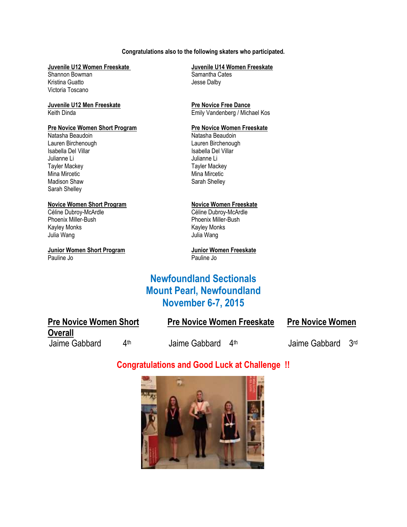### **Congratulations also to the following skaters who participated.**

Shannon Bowman Kristina Guatto **Access 1986** Jesse Dalby Victoria Toscano

# **Juvenile U12 Men Freeskate Pre Novice Free Dance**

### **Pre Novice Women Short Program**  Pre Novice Women Freeskate

Natasha Beaudoin **Natasha Beaudoin** Natasha Beaudoin Lauren Birchenough **Lauren Birchenough Lauren Birchenough**<br>
Isabella Del Villar **Channel Communisty Communisty Communisty** Capital School Channel Channel Channel Channel Ch Isabella Del Villar Julianne Li Julianne Li Tayler Mackey Tayler Mackey Mina Mircetic **Mina Mircetic** Mina Mircetic Madison Shaw Sarah Shelley Sarah Shelley

### **Novice Women Short Program Novice Women Freeskate**

Céline Dubroy-McArdle Céline Dubroy-McArdle Phoenix Miller-Bush<br>
Kayley Monks<br>
Kayley Monks Kayley Monks Kayley Monks Julia Wang Julia Wang

**Junior Women Short Program Junior Women Freeskate** Pauline Jo Pauline Jo

# **Juvenile U12 Women Freeskate**<br>
Shannon Bowman<br>
Samantha Cates

Keith Dinda **Emily Vandenberg / Michael Kos** Emily Vandenberg / Michael Kos

## **Newfoundland Sectionals Mount Pearl, Newfoundland November 6-7, 2015**

| <b>Pre Novice Women Short</b>                  | <b>Pre Novice Women Freeskate</b> | <b>Pre Novice Women</b> |                 |  |
|------------------------------------------------|-----------------------------------|-------------------------|-----------------|--|
| <b>Overall</b><br><b>∆</b> th<br>Jaime Gabbard | Jaime Gabbard<br>⊿th              | Jaime Gabbard           | 3 <sub>rd</sub> |  |

## **Congratulations and Good Luck at Challenge !!**

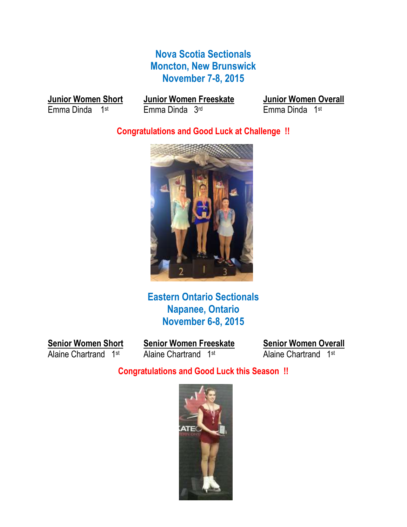## **Nova Scotia Sectionals Moncton, New Brunswick November 7-8, 2015**

Emma Dinda 1st

**Junior Women Short Junior Women Freeskate Junior Women Overall**<br>
Emma Dinda 1<sup>st</sup> Emma Dinda 3<sup>rd</sup> **Emma Dinda 1st** 

## **Congratulations and Good Luck at Challenge !!**



**Eastern Ontario Sectionals Napanee, Ontario November 6-8, 2015**

**Senior Women Short Senior Women Freeskate Senior Women Overall**<br>Alaine Chartrand 1<sup>st</sup> Alaine Chartrand 1<sup>st</sup> Alaine Chartrand 1<sup>st</sup>

Alaine Chartrand 1st

**Congratulations and Good Luck this Season !!**

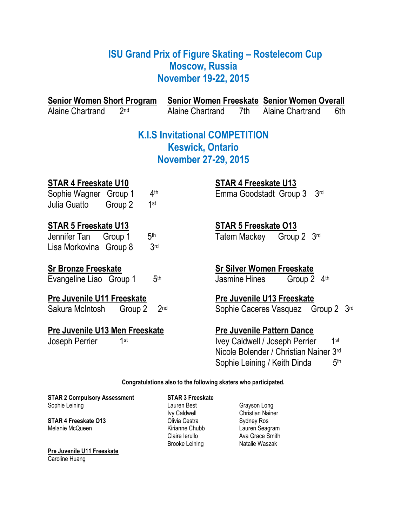## **ISU Grand Prix of Figure Skating – Rostelecom Cup Moscow, Russia November 19-22, 2015**

| <b>Senior Women Short Program</b>                                                                                      | <b>Senior Women Freeskate Senior Women Overall</b>                                                                                                                      |
|------------------------------------------------------------------------------------------------------------------------|-------------------------------------------------------------------------------------------------------------------------------------------------------------------------|
| <b>Alaine Chartrand</b><br>2 <sub>nd</sub>                                                                             | <b>Alaine Chartrand</b><br>Alaine Chartrand<br>7th<br>6th                                                                                                               |
|                                                                                                                        | <b>K.I.S Invitational COMPETITION</b><br><b>Keswick, Ontario</b>                                                                                                        |
|                                                                                                                        | <b>November 27-29, 2015</b>                                                                                                                                             |
| <b>STAR 4 Freeskate U10</b><br>4 <sup>th</sup><br>Sophie Wagner Group 1<br>1st<br>Julia Guatto<br>Group 2              | <b>STAR 4 Freeskate U13</b><br>Emma Goodstadt Group 3<br>3 <sub>rd</sub>                                                                                                |
| <b>STAR 5 Freeskate U13</b><br>5 <sup>th</sup><br>Jennifer Tan<br>Group 1<br>3 <sub>rd</sub><br>Lisa Morkovina Group 8 | <b>STAR 5 Freeskate O13</b><br>Tatem Mackey<br>3 <sup>rd</sup><br>Group 2                                                                                               |
| <b>Sr Bronze Freeskate</b><br>5 <sup>th</sup><br>Evangeline Liao Group 1                                               | <b>Sr Silver Women Freeskate</b><br><b>Jasmine Hines</b><br>Group 2 4th                                                                                                 |
| <b>Pre Juvenile U11 Freeskate</b><br>Sakura McIntosh<br>Group 2                                                        | Pre Juvenile U13 Freeskate<br>2 <sub>nd</sub><br>Sophie Caceres Vasquez Group 2 3rd                                                                                     |
| Pre Juvenile U13 Men Freeskate<br>1st<br>Joseph Perrier                                                                | <b>Pre Juvenile Pattern Dance</b><br>1st<br>Ivey Caldwell / Joseph Perrier<br>Nicole Bolender / Christian Nainer 3rd<br>Sophie Leining / Keith Dinda<br>5 <sup>th</sup> |

**Congratulations also to the following skaters who participated.**

**STAR 2 Compulsory Assessment**<br> **STAR 3 Freeskate**<br>
Lauren Best<br> **Started Bases** Sophie Leining **Constanting Constanting Constanting Constanting Constanting Constanting Constanting Constanting Constanting Constanting Constanting Constanting Constanting Constanting Constanting Constanting Constanting Co** 

**STAR 4 Freeskate O13** Olivia Cestra Sydney Ros

**Pre Juvenile U11 Freeskate** Caroline Huang

Ivy Caldwell Christian Nainer Brooke Leining

Kirianne Chubb Lauren Seagram<br>Claire Ierullo Ava Grace Smith Ava Grace Smith<br>Natalie Waszak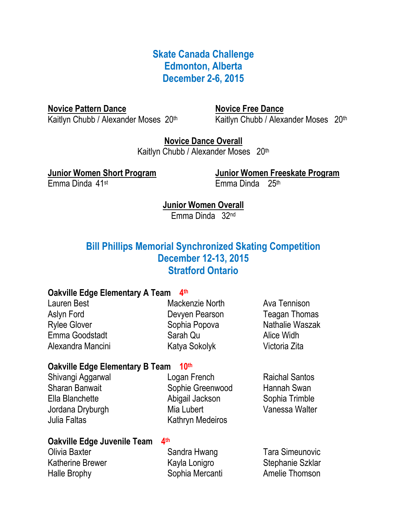**Skate Canada Challenge Edmonton, Alberta December 2-6, 2015**

**Novice Pattern Dance** Novice Free Dance Kaitlyn Chubb / Alexander Moses 20th

Kaitlyn Chubb / Alexander Moses 20th

**Novice Dance Overall** Kaitlyn Chubb / Alexander Moses 20th

**Junior Women Short Program Junior Women Freeskate Program** Emma Dinda 41st Emma Dinda 25th

**Junior Women Overall** Emma Dinda 32nd

## **Bill Phillips Memorial Synchronized Skating Competition December 12-13, 2015 Stratford Ontario**

## **Oakville Edge Elementary A Team** 4<sup>th</sup>

| Mackenzie North | Ava Tennison         |
|-----------------|----------------------|
| Devyen Pearson  | <b>Teagan Thomas</b> |
| Sophia Popova   | Nathalie Waszak      |
| Sarah Qu        | Alice Widh           |
| Katya Sokolyk   | Victoria Zita        |
|                 |                      |

## **Oakville Edge Elementary B Team 10th**

Shivangi Aggarwal Logan French Raichal Santos Sharan Banwait **Sophie Greenwood** Hannah Swan Ella Blanchette Abigail Jackson Sophia Trimble Jordana Dryburgh Mia Lubert Vanessa Walter Julia Faltas **Kathryn Medeiros** 

## **Oakville Edge Juvenile Team** 4<sup>th</sup>

| Olivia Baxter           | Sandra Hwang    | <b>Tara Simeunovic</b> |
|-------------------------|-----------------|------------------------|
| <b>Katherine Brewer</b> | Kayla Lonigro   | Stephanie Szklar       |
| Halle Brophy            | Sophia Mercanti | Amelie Thomson         |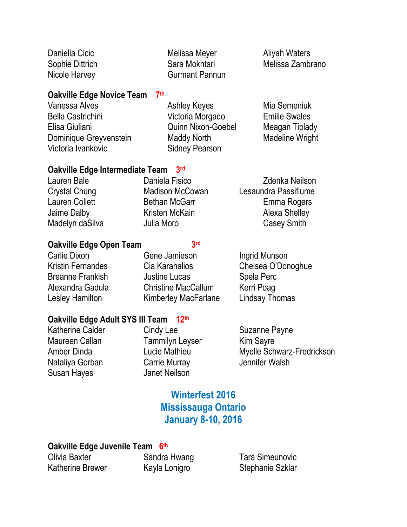| Daniella Cicic  | Melissa Meyer         |
|-----------------|-----------------------|
| Sophie Dittrich | Sara Mokhtari         |
| Nicole Harvey   | <b>Gurmant Pannun</b> |

### **Oakville Edge Novice Team 7 th**

Vanessa Alves **Ashley Keyes** Mia Semeniuk Bella Castrichini Victoria Morgado Emilie Swales Elisa Giuliani Quinn Nixon-Goebel Meagan Tiplady Dominique Greyvenstein Maddy North Madeline Wright Victoria Ivankovic Sidney Pearson

## Aliyah Waters Melissa Zambrano

### **Oakville Edge Intermediate Team 3 rd**

| Lauren Bale           | Daniela Fisico         | <b>Zdenka Neilson</b> |
|-----------------------|------------------------|-----------------------|
| <b>Crystal Chung</b>  | <b>Madison McCowan</b> | Lesaundra Passifiume  |
| <b>Lauren Collett</b> | <b>Bethan McGarr</b>   | Emma Rogers           |
| Jaime Dalby           | Kristen McKain         | Alexa Shelley         |
| Madelyn daSilva       | Julia Moro             | Casey Smith           |

## **Oakville Edge Open Team 3**

## 3rd

Carlie Dixon **Gene Jamieson** Ingrid Munson Kristin Fernandes Cia Karahalios Chelsea O'Donoghue Breanne Frankish Justine Lucas Spela Perc Alexandra Gadula Christine MacCallum Kerri Poag Lesley Hamilton **Kimberley MacFarlane** Lindsay Thomas

## **Oakville Edge Adult SYS III Team 12th**

Katherine Calder Cindy Lee Suzanne Payne Maureen Callan Tammilyn Leyser Kim Sayre Nataliya Gorban Carrie Murray Jennifer Walsh Susan Hayes Janet Neilson

Amber Dinda **Lucie Mathieu** Myelle Schwarz-Fredrickson

## **Winterfest 2016 Mississauga Ontario January 8-10, 2016**

## **Oakville Edge Juvenile Team 6 th**

Olivia Baxter Sandra Hwang Tara Simeunovic Katherine Brewer **Kayla Lonigro** Stephanie Szklar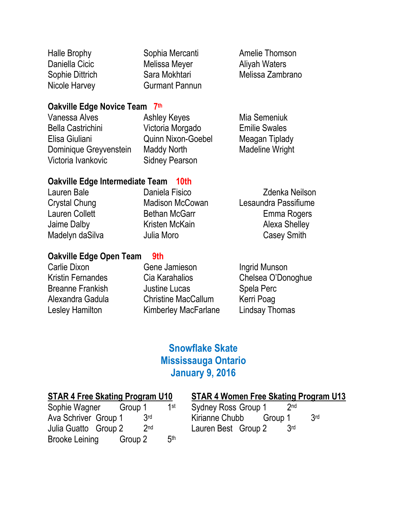| <b>Halle Brophy</b> |
|---------------------|
| Daniella Cicic      |
| Sophie Dittrich     |
| Nicole Harvev       |

Melissa Meyer **Aliyah Waters** Gurmant Pannun

Sophia Mercanti **Amelie Thomson** Sara Mokhtari Melissa Zambrano

## **Oakville Edge Novice Team 7 th**

Vanessa Alves **Ashley Keyes** Mia Semeniuk Bella Castrichini Victoria Morgado Emilie Swales Elisa Giuliani Quinn Nixon-Goebel Meagan Tiplady Dominique Greyvenstein Maddy North Madeline Wright Victoria Ivankovic Sidney Pearson

## **Oakville Edge Intermediate Team 10th**

| Lauren Bale          | Daniela Fisico         | <b>Zdenka Neilson</b> |
|----------------------|------------------------|-----------------------|
| <b>Crystal Chung</b> | <b>Madison McCowan</b> | Lesaundra Passifiume  |
| Lauren Collett       | <b>Bethan McGarr</b>   | Emma Rogers           |
| Jaime Dalby          | Kristen McKain         | <b>Alexa Shelley</b>  |
| Madelyn daSilva      | Julia Moro             | Casey Smith           |

## **Oakville Edge Open Team 9th**

## Carlie Dixon **Gene Jamieson** Ingrid Munson Kristin Fernandes Cia Karahalios Chelsea O'Donoghue Breanne Frankish Justine Lucas Spela Perc Alexandra Gadula Christine MacCallum Kerri Poag Lesley Hamilton Kimberley MacFarlane Lindsay Thomas

## **Snowflake Skate Mississauga Ontario January 9, 2016**

| Sophie Wagner        | Group 1 |     | 1st             |  |
|----------------------|---------|-----|-----------------|--|
| Ava Schriver Group 1 |         | 3rd |                 |  |
| Julia Guatto Group 2 |         | 2nd |                 |  |
| Brooke Leining       | Group 2 |     | 5 <sup>th</sup> |  |

## **STAR 4 Free Skating Program U10 STAR 4 Women Free Skating Program U13**

|    | 1st | <b>Sydney Ross Group 1</b> |  | 2 <sub>nd</sub> |                 |
|----|-----|----------------------------|--|-----------------|-----------------|
| rd |     | Kirianne Chubb Group 1     |  |                 | 3 <sub>rd</sub> |
| nd |     | Lauren Best Group 2        |  | 3rd             |                 |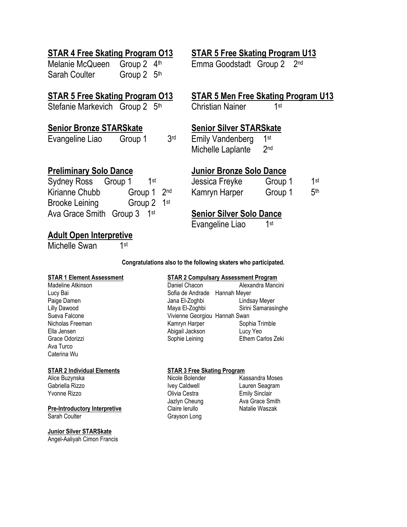## **STAR 4 Free Skating Program O13 STAR 5 Free Skating Program U13**

Melanie McQueen Group 2 4<sup>th</sup> Emma Goodstadt Group 2 Sarah Coulter Group 2 5<sup>th</sup>

Stefanie Markevich Group 2 5<sup>th</sup> Christian Nainer

## **Senior Bronze STARSkate Senior Silver STARSkate**

Evangeline Liao Group 1 3rd

2nd

## **STAR 5 Free Skating Program O13 STAR 5 Men Free Skating Program U13**

1<sub>st</sub>

**Emily Vandenberg** 1st Michelle Laplante 2nd

| Sydney Ross Group 1     | 1st         |     |
|-------------------------|-------------|-----|
| Kirianne Chubb          | Group 1 2nd |     |
| <b>Brooke Leining</b>   | Group 2     | 1st |
| Ava Grace Smith Group 3 | 1st         |     |

## **Adult Open Interpretive**

Michelle Swan 1

1<sub>st</sub>

## **Preliminary Solo Dance Junior Bronze Solo Dance**

| Sydney Ross Group 1 |                         |  | Jessica Freyke | Group 1 | 1st             |
|---------------------|-------------------------|--|----------------|---------|-----------------|
| Kirianne Chubb      | Group 1 2 <sup>nd</sup> |  | Kamryn Harper  | Group 1 | 5 <sup>th</sup> |

## **Senior Silver Solo Dance**

Evangeline Liao 1 1<sub>st</sub>

**Congratulations also to the following skaters who participated.**

Ava Turco Caterina Wu

Yvonne Rizzo Olivia Cestra Emily Sinclair

### **Pre-Introductory Interpretive** Claire Ierullo Natalie Waszak

Sarah Coulter Grayson Long

### **Junior Silver STARSkate**

Angel-Aaliyah Cimon Francis

### **STAR 1 Element Assessment STAR 2 Compulsary Assessment Program**

Madeline Atkinson **Madeline Atkinson** Daniel Chacon Alexandra Mancini Lucy Bai **Sofia de Andrade** Hannah Meyer Paige Damen **Damen Communist Communist Communist Communist Communist Communist Communist Communist Communist Communist Communist Communist Communist Communist Communist Communist Communist Communist Communist Communist Com** Lilly Dawood Maya El-Zoghbi Sirini Samarasinghe Sueva Falcone Vivienne Georgiou Hannah Swan Nicholas Freeman **Kamryn Harper** Sophia Trimble Ella Jensen Abigail Jackson Lucy Yeo Grace Odorizzi **Sophie Leining** Ethem Carlos Zeki

### **STAR 2 Individual Elements STAR 3 Free Skating Program**

Alice Buzynska **Nicole Bolender** Kassandra Moses Gabriella Rizzo **IVEY** Ivey Caldwell Lauren Seagram Jazlyn Cheung **Ava Grace Smith**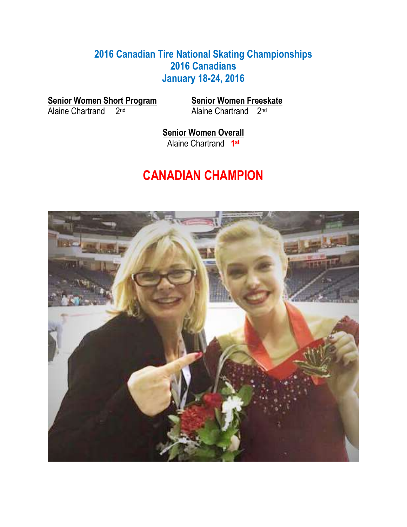## **2016 Canadian Tire National Skating Championships 2016 Canadians January 18-24, 2016**

**<u>Senior Women Short Program</u>**<br>Alaine Chartrand 2<sup>nd</sup>

Senior Women Freeskate<br>Alaine Chartrand 2<sup>nd</sup>

**Senior Women Overall** Alaine Chartrand **1 st**

# **CANADIAN CHAMPION**

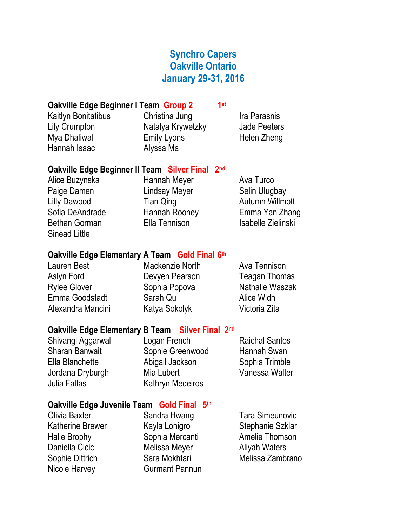## **Synchro Capers Oakville Ontario January 29-31, 2016**

**st**

## **Oakville Edge Beginner I Team Group 2 1**

Kaitlyn Bonitatibus **Christina Jung Community Community** Ira Parasnis Lily Crumpton Natalya Krywetzky Jade Peeters Mya Dhaliwal **Emily Lyons** Helen Zheng Hannah Isaac Alyssa Ma

## **Oakville Edge Beginner II Team Silver Final 2nd**

Alice Buzynska **Hannah Meyer** Ava Turco Paige Damen **Lindsay Meyer** Selin Ulugbay Lilly Dawood **Tian Qing Autumn Willmott** Bethan Gorman **Ella Tennison** Isabelle Zielinski Sinead Little

Sofia DeAndrade Hannah Rooney Emma Yan Zhang

## **Oakville Edge Elementary A Team Gold Final 6 th**

| Lauren Best       | Mackenzie North | Ava Tennison         |
|-------------------|-----------------|----------------------|
| Aslyn Ford        | Devyen Pearson  | <b>Teagan Thomas</b> |
| Rylee Glover      | Sophia Popova   | Nathalie Waszak      |
| Emma Goodstadt    | Sarah Qu        | Alice Widh           |
| Alexandra Mancini | Katya Sokolyk   | Victoria Zita        |
|                   |                 |                      |

## **Oakville Edge Elementary B Team Silver Final 2nd**

Julia Faltas Kathryn Medeiros

Shivangi Aggarwal Logan French Raichal Santos Sharan Banwait Sophie Greenwood Hannah Swan Ella Blanchette Abigail Jackson Sophia Trimble Jordana Dryburgh Mia Lubert Vanessa Walter

## **Oakville Edge Juvenile Team Gold Final 5th**

Olivia Baxter Sandra Hwang Tara Simeunovic

Katherine Brewer Kayla Lonigro Stephanie Szklar Halle Brophy Sophia Mercanti Amelie Thomson Daniella Cicic **Melissa Meyer** Aliyah Waters Nicole Harvey **Gurmant Pannun** 

Sophie Dittrich Sara Mokhtari Melissa Zambrano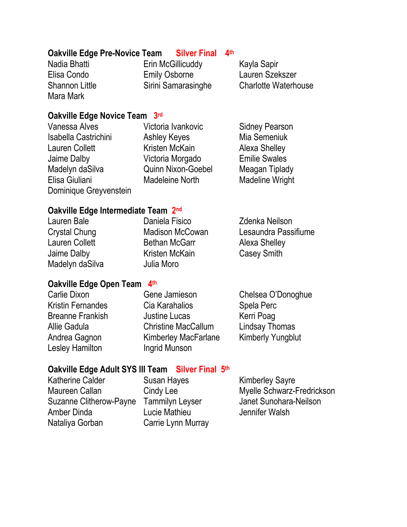## **Oakville Edge Pre-Novice Team Silver Final 4th**

Mara Mark

Nadia Bhatti **Erin McGillicuddy** Kayla Sapir Elisa Condo Emily Osborne Lauren Szekszer

Shannon Little Sirini Samarasinghe Charlotte Waterhouse

## **Oakville Edge Novice Team 3 rd**

| Vanessa Alves          |
|------------------------|
| Isabella Castrichini   |
| <b>Lauren Collett</b>  |
| Jaime Dalby            |
| Madelyn daSilva        |
| Elisa Giuliani         |
| Dominique Greyvenstein |

Ashley Keyes Mia Semeniuk Kristen McKain Alexa Shelley Victoria Morgado **Emilie Swales** Quinn Nixon-Goebel Meagan Tiplady Madeleine North Madeline Wright

Victoria Ivankovic Sidney Pearson

## **Oakville Edge Intermediate Team 2<sup>nd</sup>**

| Daniela Fisico         | Zdenka Neilson       |
|------------------------|----------------------|
| <b>Madison McCowan</b> | Lesaundra Passifiume |
| <b>Bethan McGarr</b>   | Alexa Shelley        |
| Kristen McKain         | <b>Casey Smith</b>   |
| Julia Moro             |                      |
|                        |                      |

## **Oakville Edge Open Team 4 th**

| Carlie Dixon             |
|--------------------------|
| <b>Kristin Fernandes</b> |
| <b>Breanne Frankish</b>  |
| Allie Gadula             |
| Andrea Gagnon            |
| <b>Lesley Hamilton</b>   |

Cia Karahalios Spela Perc **Justine Lucas** Kerri Poag Christine MacCallum Lindsay Thomas Kimberley MacFarlane Kimberly Yungblut **Ingrid Munson** 

Gene Jamieson Chelsea O'Donoghue

## **Oakville Edge Adult SYS III Team Silver Final 5th**

Katherine Calder Susan Hayes Kimberley Sayre Suzanne Clitherow-Payne Tammilyn Leyser Janet Sunohara-Neilson Amber Dinda Lucie Mathieu Jennifer Walsh Nataliya Gorban Carrie Lynn Murray

Maureen Callan Cindy Lee Myelle Schwarz-Fredrickson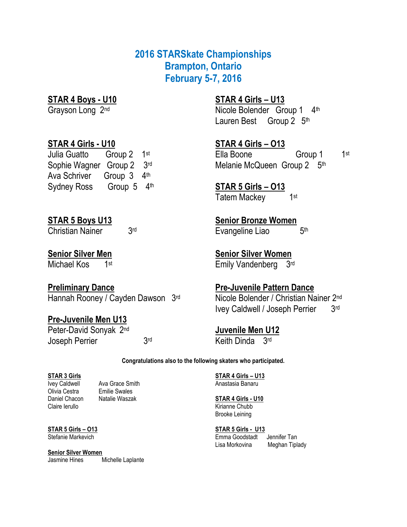## **2016 STARSkate Championships Brampton, Ontario February 5-7, 2016**

## **STAR 4 Boys - U10 STAR 4 Girls – U13**

Grayson Long 2<sup>nd</sup> Nicole Bolender Group 1 4<sup>th</sup> Lauren Best Group 2 5<sup>th</sup>

## **STAR 4 Girls - U10 STAR 4 Girls – O13**

Julia Guatto Group 2 1<sup>st</sup> Ella Boone Group 1 Sophie Wagner Group 2 3rd Ava Schriver Group 3 4th Sydney Ross Group 5 4th

1<sub>st</sub> Melanie McQueen Group 2 5th

th **STAR 5 Girls – O13** Tatem Mackey 1 1<sub>st</sub>

**STAR 5 Boys U13 Senior Bronze Women** Evangeline Liao 5<sub>th</sub>

**Senior Silver Men Senior Silver Women** Emily Vandenberg 3rd

**Preliminary Dance Pre-Juvenile Pattern Dance** Hannah Rooney / Cayden Dawson 3<sup>rd</sup> Nicole Bolender / Christian Nainer 2<sup>nd</sup>

**Pre-Juvenile Men U13** Peter-David Sonyak 2 Ivey Caldwell / Joseph Perrier 3rd

**Juvenile Men U12** <sup>rd</sup> Keith Dinda 3<sup>rd</sup>

**Congratulations also to the following skaters who participated.**

Olivia Cestra Emilie Swales

**Senior Silver Women** Jasmine Hines Michelle Laplante

**STAR 3 Girls STAR 4 Girls – U13** Ivey Caldwell Ava Grace Smith Anastasia Banaru

### Daniel Chacon Natalie Waszak **STAR 4 Girls - U10** Claire Ierullo **Kirianne Chubb** Brooke Leining

**STAR 5 Girls – O13 STAR 5 Girls - U13** Stefanie Markevich Emma Goodstadt Jennifer Tan Lisa Morkovina Meghan Tiplady

Christian Nainer 3rd

Michael Kos 1st

Joseph Perrier 3rd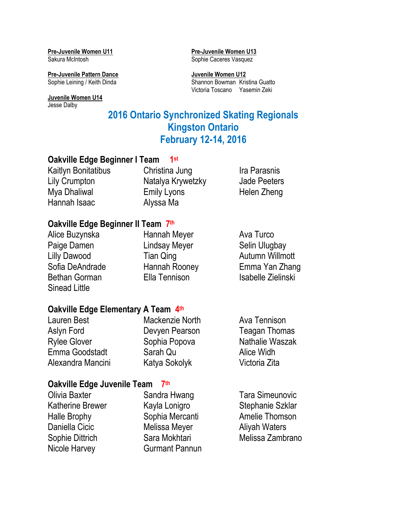**Pre-Juvenile Women U11 Pre-Juvenile Women U13** 

**Pre-Juvenile Pattern Dance**<br> **Sophie Leining / Keith Dinda**<br> **Shannon Bowman Kris** 

**Juvenile Women U14** Jesse Dalby

Sakura McIntosh Sophie Caceres Vasquez

Shannon Bowman Kristina Guatto Victoria Toscano Yasemin Zeki

## **2016 Ontario Synchronized Skating Regionals Kingston Ontario February 12-14, 2016**

### **Oakville Edge Beginner I Team 1 st**

| Kaitlyn Bonitatibus | Christina Jung     | Ira Parasnis        |
|---------------------|--------------------|---------------------|
| Lily Crumpton       | Natalya Krywetzky  | <b>Jade Peeters</b> |
| Mya Dhaliwal        | <b>Emily Lyons</b> | Helen Zheng         |
| Hannah Isaac        | Alyssa Ma          |                     |

## **Oakville Edge Beginner II Team 7 th**

| Alice Buzynska       | Hannah Meyer         | Ava Turco          |
|----------------------|----------------------|--------------------|
| Paige Damen          | <b>Lindsay Meyer</b> | Selin Ulugbay      |
| Lilly Dawood         | <b>Tian Qing</b>     | Autumn Willmott    |
| Sofia DeAndrade      | Hannah Rooney        | Emma Yan Zhang     |
| <b>Bethan Gorman</b> | <b>Ella Tennison</b> | Isabelle Zielinski |
| Sinead Little        |                      |                    |

## **Oakville Edge Elementary A Team 4th**

| Lauren Best         | Mackenzie North | Ava Tennison         |
|---------------------|-----------------|----------------------|
| Aslyn Ford          | Devyen Pearson  | <b>Teagan Thomas</b> |
| <b>Rylee Glover</b> | Sophia Popova   | Nathalie Waszak      |
| Emma Goodstadt      | Sarah Qu        | Alice Widh           |
| Alexandra Mancini   | Katya Sokolyk   | Victoria Zita        |

## **Oakville Edge Juvenile Team 7 th**

| Sandra Hwang          | <b>Tara Simeunovic</b> |
|-----------------------|------------------------|
| Kayla Lonigro         | Stephanie Szklar       |
| Sophia Mercanti       | Amelie Thomson         |
| Melissa Meyer         | <b>Aliyah Waters</b>   |
| Sara Mokhtari         | Melissa Zambrano       |
| <b>Gurmant Pannun</b> |                        |
|                       |                        |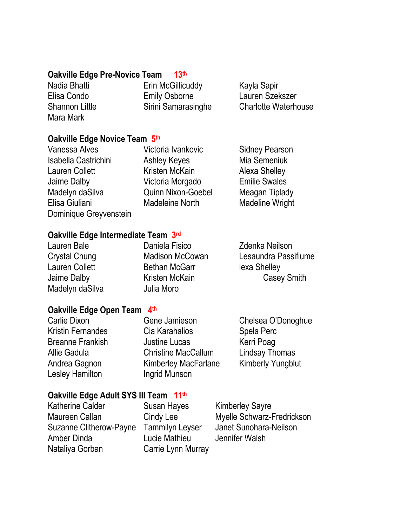## **Oakville Edge Pre-Novice Team 13th**

Mara Mark

Nadia Bhatti **Erin McGillicuddy** Kayla Sapir Elisa Condo Emily Osborne Lauren Szekszer

Shannon Little Sirini Samarasinghe Charlotte Waterhouse

## **Oakville Edge Novice Team 5 th**

Vanessa Alves **Victoria Ivankovic** Sidney Pearson Isabella Castrichini Ashley Keyes Mia Semeniuk Lauren Collett **Kristen McKain** Alexa Shelley Jaime Dalby Victoria Morgado Emilie Swales Madelyn daSilva Quinn Nixon-Goebel Meagan Tiplady Elisa Giuliani Madeleine North Madeline Wright Dominique Greyvenstein

## **Oakville Edge Intermediate Team 3 rd**

Madelyn daSilva **Julia Moro** 

Lauren Bale Daniela Fisico Zdenka Neilson Lauren Collett **Bethan McGarr** lexa Shelley

Crystal Chung Madison McCowan Lesaundra Passifiume Jaime Dalby **Kristen McKain** Casey Smith

## Oakville Edge Open Team 4<sup>th</sup>

Lesley Hamilton **Ingrid Munson** 

Carlie Dixon Gene Jamieson Chelsea O'Donoghue Kristin Fernandes Cia Karahalios Spela Perc Breanne Frankish Justine Lucas Kerri Poag Allie Gadula Christine MacCallum Lindsay Thomas Andrea Gagnon Kimberley MacFarlane Kimberly Yungblut

## **Oakville Edge Adult SYS III Team 11th**

Katherine Calder Susan Hayes Kimberley Sayre Suzanne Clitherow-Payne Tammilyn Leyser Janet Sunohara-Neilson Amber Dinda Lucie Mathieu Jennifer Walsh Nataliya Gorban Carrie Lynn Murray

Maureen Callan Cindy Lee Myelle Schwarz-Fredrickson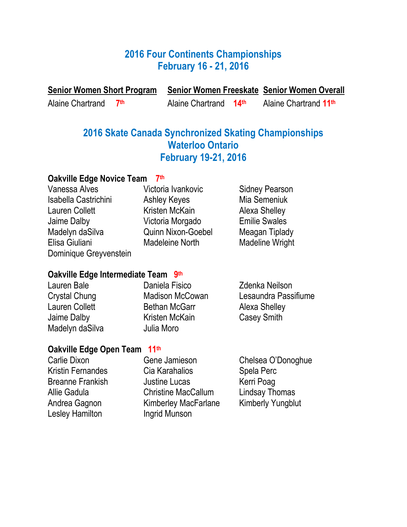## **2016 Four Continents Championships February 16 - 21, 2016**

**Senior Women Short Program Senior Women Freeskate Senior Women Overall**

Alaine Chartrand **7**

**th** Alaine Chartrand **14th** Alaine Chartrand **11th**

## **2016 Skate Canada Synchronized Skating Championships Waterloo Ontario February 19-21, 2016**

### **Oakville Edge Novice Team 7 th**

Vanessa Alves **Victoria Ivankovic** Sidney Pearson Isabella Castrichini Ashley Keyes Mia Semeniuk Lauren Collett **Kristen McKain** Alexa Shelley Jaime Dalby Victoria Morgado Emilie Swales Madelyn daSilva Quinn Nixon-Goebel Meagan Tiplady Elisa Giuliani Madeleine North Madeline Wright Dominique Greyvenstein

## **Oakville Edge Intermediate Team 9 th**

Lauren Bale Daniela Fisico Zdenka Neilson Crystal Chung Madison McCowan Lesaundra Passifiume Lauren Collett **Bethan McGarr** Alexa Shelley Jaime Dalby **Kristen McKain** Casey Smith Madelyn daSilva **Julia Moro** 

## **Oakville Edge Open Team 11th**

Lesley Hamilton **Ingrid Munson** 

Carlie Dixon Gene Jamieson Chelsea O'Donoghue Kristin Fernandes Cia Karahalios Spela Perc Breanne Frankish **International Control** Justine Lucas **Kerri Poag** Allie Gadula Christine MacCallum Lindsay Thomas Andrea Gagnon Kimberley MacFarlane Kimberly Yungblut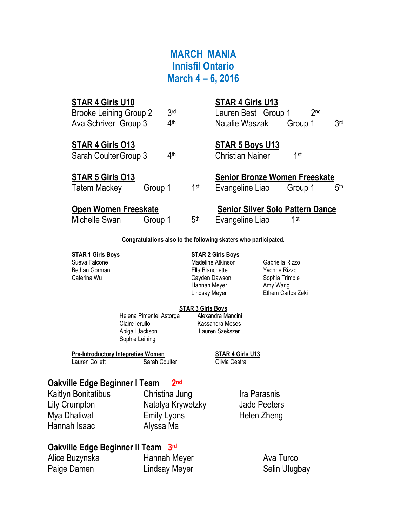## **MARCH MANIA Innisfil Ontario March 4 – 6, 2016**

| STAR 4 Girls U10              |         |                 |                 | STAR 4 Girls U13                        |         |                 |                 |
|-------------------------------|---------|-----------------|-----------------|-----------------------------------------|---------|-----------------|-----------------|
| <b>Brooke Leining Group 2</b> |         | 3 <sub>rd</sub> |                 | Lauren Best Group 1                     |         | 2 <sub>nd</sub> |                 |
| Ava Schriver Group 3          |         | 4 <sup>th</sup> |                 | Natalie Waszak                          | Group 1 |                 | 3 <sub>rd</sub> |
| STAR 4 Girls 013              |         |                 |                 | <b>STAR 5 Boys U13</b>                  |         |                 |                 |
| Sarah Coulter Group 3         |         | 4 <sup>th</sup> |                 | <b>Christian Nainer</b>                 | 1st     |                 |                 |
| <b>STAR 5 Girls 013</b>       |         |                 |                 | <b>Senior Bronze Women Freeskate</b>    |         |                 |                 |
| <b>Tatem Mackey</b>           | Group 1 |                 | 1st             | Evangeline Liao                         | Group 1 |                 | 5 <sup>th</sup> |
| <b>Open Women Freeskate</b>   |         |                 |                 | <b>Senior Silver Solo Pattern Dance</b> |         |                 |                 |
| Michelle Swan                 | Group 1 |                 | 5 <sup>th</sup> | Evangeline Liao                         | 1st     |                 |                 |

**Congratulations also to the following skaters who participated.**

### **STAR 1 Girls Boys STAR 2 Girls Boys**

Sueva Falcone Madeline Atkinson Gabriella Rizzo Ella Blanchette Yvonne Rizzo<br>Cayden Dawson Sophia Trimble Caterina Wu **Cayden Dawson** Cayden Dawson Hannah Meyer **Amy Wang** Lindsay Meyer **Ethem Carlos Zeki** 

### **STAR 3 Girls Boys** Helena Pimentel Astorga Alexandra Mancini Claire Ierullo Kassandra Moses Abigail Jackson Lauren Szekszer Sophie Leining

**Pre-Introductory Intepretive Women STAR 4 Girls U13**

Lauren Collett **Sarah Coulter** Colivia Cestra

### **Oakville Edge Beginner I Team 2** 2<sup>nd</sup>

Kaitlyn Bonitatibus Christina Jung Ira Parasnis Hannah Isaac Alyssa Ma

Lily Crumpton Natalya Krywetzky Jade Peeters Mya Dhaliwal **Emily Lyons** Helen Zheng

## **Oakville Edge Beginner II Team 3 rd**

Paige Damen **Lindsay Meyer** Selin Ulugbay

Alice Buzynska **Hannah Meyer** Ava Turco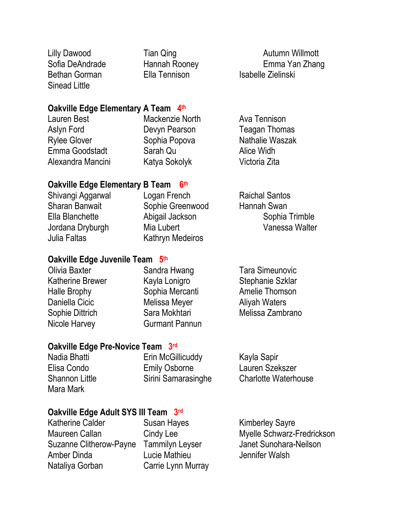Bethan Gorman Ella Tennison Isabelle Zielinski Sinead Little

Lilly Dawood **Tian Qing Autumn Willmott Autumn Willmott** Sofia DeAndrade Hannah Rooney Emma Yan Zhang

## **Oakville Edge Elementary A Team 4th**

| Mackenzie North | Ava Tennison         |
|-----------------|----------------------|
| Devyn Pearson   | <b>Teagan Thomas</b> |
| Sophia Popova   | Nathalie Waszak      |
| Sarah Qu        | Alice Widh           |
| Katya Sokolyk   | Victoria Zita        |
|                 |                      |

### **Oakville Edge Elementary B Team 6 th**

| Shivangi Aggarwal | Logan French     | <b>Raichal Santos</b> |
|-------------------|------------------|-----------------------|
| Sharan Banwait    | Sophie Greenwood | Hannah Swan           |
| Ella Blanchette   | Abigail Jackson  | Sophia Trimble        |
| Jordana Dryburgh  | Mia Lubert       | Vanessa Walter        |
| Julia Faltas      | Kathryn Medeiros |                       |
|                   |                  |                       |

## **Oakville Edge Juvenile Team 5 th**

| Olivia Baxter           | Sandra Hwang          | <b>Tara Simeunovic</b> |
|-------------------------|-----------------------|------------------------|
| <b>Katherine Brewer</b> | Kayla Lonigro         | Stephanie Szklar       |
| Halle Brophy            | Sophia Mercanti       | Amelie Thomson         |
| Daniella Cicic          | Melissa Meyer         | <b>Aliyah Waters</b>   |
| Sophie Dittrich         | Sara Mokhtari         | Melissa Zambrano       |
| Nicole Harvey           | <b>Gurmant Pannun</b> |                        |
|                         |                       |                        |

## **Oakville Edge Pre-Novice Team 3 rd**

Mara Mark

Nadia Bhatti **Erin McGillicuddy** Kayla Sapir Elisa Condo Emily Osborne Lauren Szekszer Shannon Little Sirini Samarasinghe Charlotte Waterhouse

## **Oakville Edge Adult SYS III Team 3 rd**

Katherine Calder Susan Hayes Kimberley Sayre Suzanne Clitherow-Payne Tammilyn Leyser Janet Sunohara-Neilson Amber Dinda Lucie Mathieu Jennifer Walsh Nataliya Gorban Carrie Lynn Murray

Maureen Callan Cindy Lee Myelle Schwarz-Fredrickson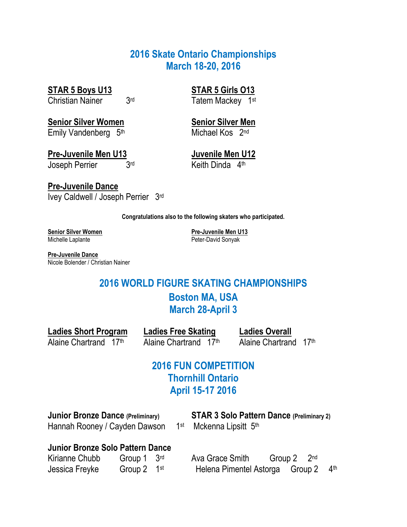## **2016 Skate Ontario Championships March 18-20, 2016**

**STAR 5 Boys U13 STAR 5 Girls O13**

Christian Nainer 3rd

**Senior Silver Women Senior Silver Men** Emily Vandenberg 5<sup>th</sup> Michael Kos 2<sup>nd</sup>

**Pre-Juvenile Men U13 Juvenile Men U12** Joseph Perrier 3rd

**Pre-Juvenile Dance** Ivey Caldwell / Joseph Perrier 3rd Tatem Mackey 1st

Keith Dinda 4th

**Congratulations also to the following skaters who participated.**

Michelle Laplante **Peter-David Sonyak** 

**Senior Silver Women Pre-Juvenile Men U13**

**Pre-Juvenile Dance** Nicole Bolender / Christian Nainer

## **2016 WORLD FIGURE SKATING CHAMPIONSHIPS Boston MA, USA March 28-April 3**

**Ladies Short Program Ladies Free Skating Ladies Overall**

Alaine Chartrand 17<sup>th</sup> Alaine Chartrand 17<sup>th</sup>

## **2016 FUN COMPETITION Thornhill Ontario April 15-17 2016**

Hannah Rooney / Cayden Dawson 1<sup>st</sup> Mckenna Lipsitt 5<sup>th</sup>

**Junior Bronze Dance (Preliminary) STAR 3 Solo Pattern Dance (Preliminary 2)**

## **Junior Bronze Solo Pattern Dance**

| Kirianne Chubb | Group 1 3rd            |  |
|----------------|------------------------|--|
| Jessica Freyke | Group $2 \quad 1^{st}$ |  |

 Ava Grace Smith Group 2 2nd Helena Pimentel Astorga Group 2 4th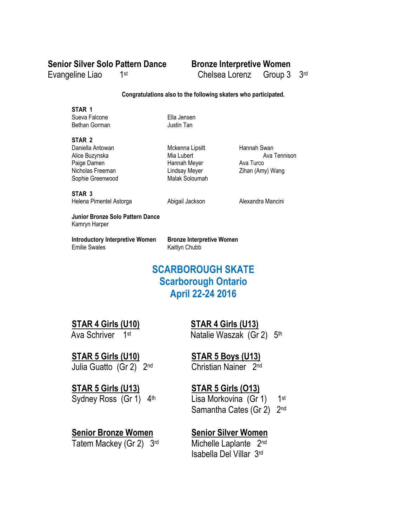## **Senior Silver Solo Pattern Dance Bronze Interpretive Women**

1st

Evangeline Liao 1

Chelsea Lorenz Group 3 3rd

### **Congratulations also to the following skaters who participated.**

**STAR 1**

Sueva Falcone Ella Jensen Bethan Gorman **Justin Tan** 

### **STAR 2**

Paige Damen **Hannah Meyer** Ava Turco Nicholas Freeman **Nicholas Freeman** Lindsay Meyer Zihan (Amy) Wang Sophie Greenwood Malak Soloumah

Daniella Antowan **Mckenna Lipsitt** Hannah Swan

Alice Buzynska **Mia Lubert** Ava Tennison

**STAR 3** Helena Pimentel Astorga **Abigail Jackson** Alexandra Mancini

**Junior Bronze Solo Pattern Dance** Kamryn Harper

**Introductory Interpretive Women Bronze Interpretive Women** Emilie Swales Kaitlyn Chubb

## **SCARBOROUGH SKATE Scarborough Ontario April 22-24 2016**

**STAR 4 Girls (U10) STAR 4 Girls (U13)**

Ava Schriver 1st

Julia Guatto (Gr 2) 2nd

**STAR 5 Girls (U13) STAR 5 Girls (O13)** Sydney Ross  $(Gr 1)$  4<sup>th</sup> Lisa Morkovina  $(Gr 1)$ 

## **Senior Bronze Women Senior Silver Women**

Tatem Mackey (Gr 2) 3rd Michelle Laplante 2nd

**Natalie Waszak (Gr 2)** 5<sup>th</sup>

## **STAR 5 Girls (U10) STAR 5 Boys (U13)**

Christian Nainer 2nd

 $1st$ Samantha Cates (Gr 2) 2<sup>nd</sup>

Isabella Del Villar 3rd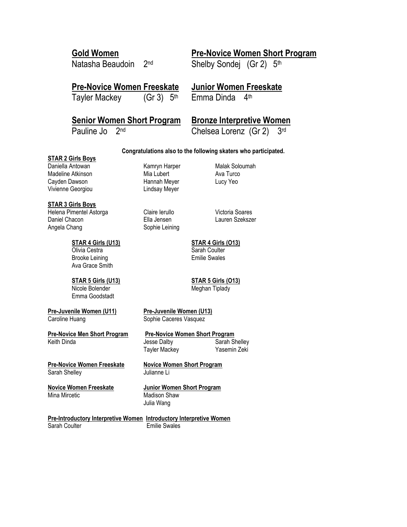Natasha Beaudoin 2nd

## **Gold Women Pre-Novice Women Short Program**

Shelby Sondej (Gr 2) 5th

## **Pre-Novice Women Freeskate Junior Women Freeskate**

Tayler Mackey  $(Gr 3)$  5<sup>th</sup> Emma Dinda 4<sup>th</sup>

## **Senior Women Short Program Bronze Interpretive Women**

Pauline Jo 2<sup>nd</sup> Chelsea Lorenz (Gr 2) 3<sup>rd</sup>

### **Congratulations also to the following skaters who participated.**

### **STAR 2 Girls Boys**

Daniella Antowan **Kamryn Harper** Malak Soloumah Madeline Atkinson Mia Lubert Mia Lubert Ava Turco Cayden Dawson **Hannah Meyer** Lucy Yeo Vivienne Georgiou Lindsay Meyer

### **STAR 3 Girls Boys**

Helena Pimentel Astorga Claire Ierullo Victoria Soares Daniel Chacon Ella Jensen Lauren Szekszer Angela Chang Sophie Leining

### **STAR 4 Girls (U13) STAR 4 Girls (O13)** Olivia Cestra New York Coulter<br>Brooke Leining New York Coulter Sarah Coulter Brooke Leining

Ava Grace Smith

## Nicole Bolender **Meghan Tiplady**

Emma Goodstadt

### **Pre-Juvenile Women (U11) Pre-Juvenile Women (U13)** Caroline Huang Sophie Caceres Vasquez

**Pre-Novice Men Short Program Pre-Novice Women Short Program**

### **Pre-Novice Women Freeskate Novice Women Short Program** Sarah Shelley Julianne Li

# Mina Mircetic **Madison Shaw**

# Julia Wang

**Pre-Introductory Interpretive Women Introductory Interpretive Women**<br>Sarah Coulter **Interpretive Memory Emilie Swales Emilie Swales** 

**STAR 5 Girls (U13) STAR 5 Girls (O13)**

Keith Dinda **Jesse Dalby** Sarah Shelley Tayler Mackey Yasemin Zeki

**Novice Women Freeskate Junior Women Short Program**